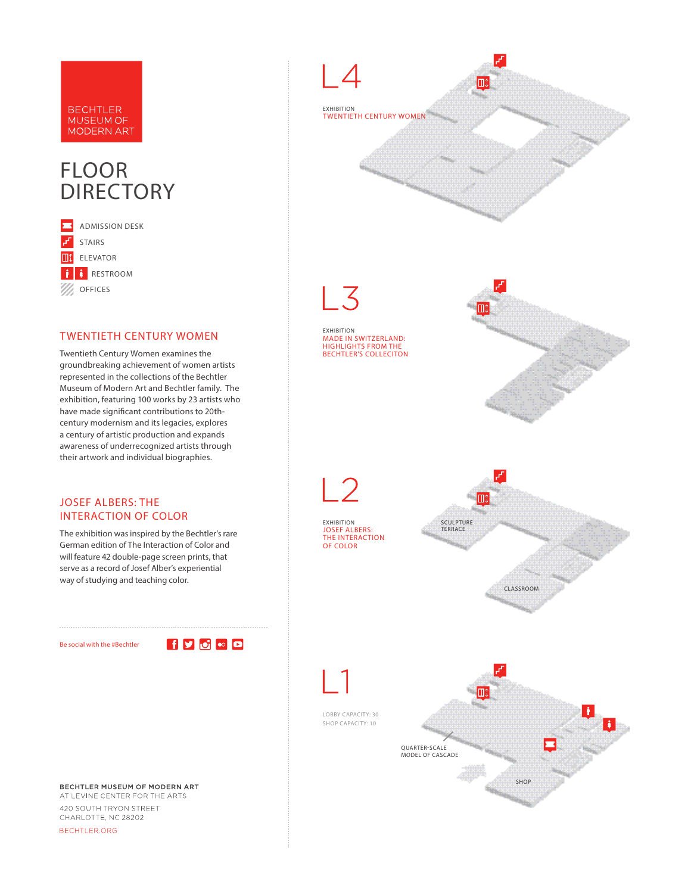#### **BECHTLER** MUSEUM OF **MODERN ART**

# FLOOR **DIRECTORY**



#### TWENTIETH CENTURY WOMEN

Twentieth Century Women examines the groundbreaking achievement of women artists represented in the collections of the Bechtler Museum of Modern Art and Bechtler family. The exhibition, featuring 100 works by 23 artists who have made significant contributions to 20thcentury modernism and its legacies, explores a century of artistic production and expands awareness of underrecognized artists through their artwork and individual biographies.

#### JOSEF ALBERS: THE INTERACTION OF COLOR

The exhibition was inspired by the Bechtler's rare German edition of The Interaction of Color and will feature 42 double-page screen prints, that serve as a record of Josef Alber's experiential way of studying and teaching color.

Be social with the #Bechtler

 $f$  y  $f$   $\circ$   $\circ$   $\circ$ 

BECHTLER MUSEUM OF MODERN ART

AT LEVINE CENTER FOR THE ARTS 420 SOUTH TRYON STREET CHARLOTTE, NC 28202 BECHTLER.ORG



EXHIBITION

OF COLOR

EXHIBITION MADE IN SWITZERLAND: HIGHLIGHTS FROM THE BECHTLER'S COLLECITON